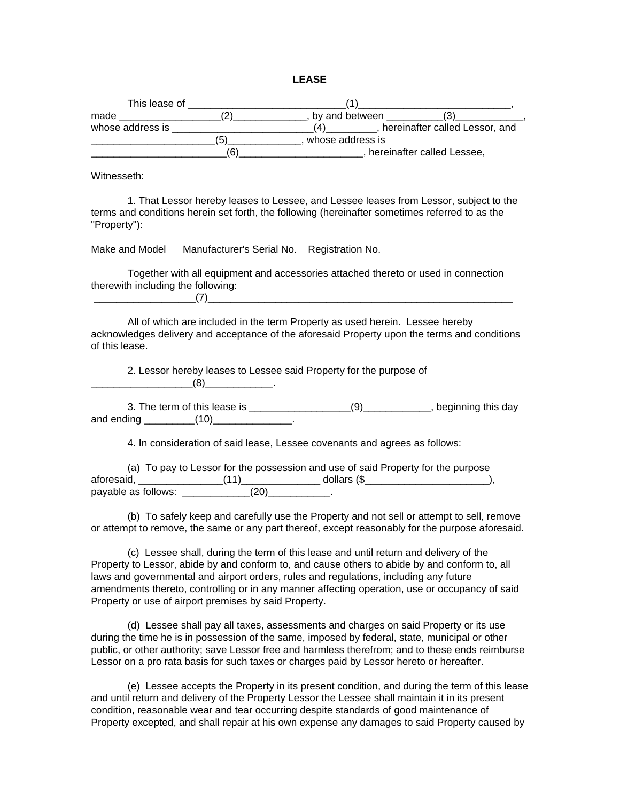|--|--|

| This lease of    |    |                                |
|------------------|----|--------------------------------|
| made             |    | by and between                 |
| whose address is |    | hereinafter called Lessor, and |
|                  | '5 | whose address is               |
|                  | ΄6 | hereinafter called Lessee,     |

Witnesseth:

1. That Lessor hereby leases to Lessee, and Lessee leases from Lessor, subject to the terms and conditions herein set forth, the following (hereinafter sometimes referred to as the "Property"):

Make and Model Manufacturer's Serial No. Registration No.

Together with all equipment and accessories attached thereto or used in connection therewith including the following:  $(7)$ 

All of which are included in the term Property as used herein. Lessee hereby acknowledges delivery and acceptance of the aforesaid Property upon the terms and conditions of this lease.

2. Lessor hereby leases to Lessee said Property for the purpose of  $(8)$  .

3. The term of this lease is  $(9)$  , beginning this day and ending and  $(10)$ 

4. In consideration of said lease, Lessee covenants and agrees as follows:

(a) To pay to Lessor for the possession and use of said Property for the purpose aforesaid, \_\_\_\_\_\_\_\_\_\_\_\_\_\_\_(11)\_\_\_\_\_\_\_\_\_\_\_\_\_\_ dollars (\$\_\_\_\_\_\_\_\_\_\_\_\_\_\_\_\_\_\_\_\_\_\_), payable as follows: \_\_\_\_\_\_\_\_\_\_\_\_\_(20)\_\_\_\_\_\_\_\_\_\_\_\_.

(b) To safely keep and carefully use the Property and not sell or attempt to sell, remove or attempt to remove, the same or any part thereof, except reasonably for the purpose aforesaid.

(c) Lessee shall, during the term of this lease and until return and delivery of the Property to Lessor, abide by and conform to, and cause others to abide by and conform to, all laws and governmental and airport orders, rules and regulations, including any future amendments thereto, controlling or in any manner affecting operation, use or occupancy of said Property or use of airport premises by said Property.

(d) Lessee shall pay all taxes, assessments and charges on said Property or its use during the time he is in possession of the same, imposed by federal, state, municipal or other public, or other authority; save Lessor free and harmless therefrom; and to these ends reimburse Lessor on a pro rata basis for such taxes or charges paid by Lessor hereto or hereafter.

(e) Lessee accepts the Property in its present condition, and during the term of this lease and until return and delivery of the Property Lessor the Lessee shall maintain it in its present condition, reasonable wear and tear occurring despite standards of good maintenance of Property excepted, and shall repair at his own expense any damages to said Property caused by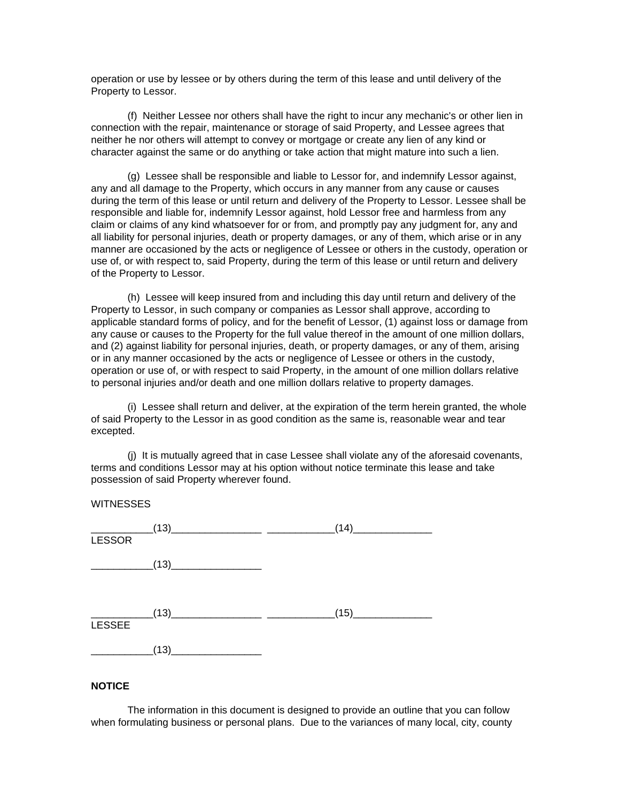operation or use by lessee or by others during the term of this lease and until delivery of the Property to Lessor.

(f) Neither Lessee nor others shall have the right to incur any mechanic's or other lien in connection with the repair, maintenance or storage of said Property, and Lessee agrees that neither he nor others will attempt to convey or mortgage or create any lien of any kind or character against the same or do anything or take action that might mature into such a lien.

(g) Lessee shall be responsible and liable to Lessor for, and indemnify Lessor against, any and all damage to the Property, which occurs in any manner from any cause or causes during the term of this lease or until return and delivery of the Property to Lessor. Lessee shall be responsible and liable for, indemnify Lessor against, hold Lessor free and harmless from any claim or claims of any kind whatsoever for or from, and promptly pay any judgment for, any and all liability for personal injuries, death or property damages, or any of them, which arise or in any manner are occasioned by the acts or negligence of Lessee or others in the custody, operation or use of, or with respect to, said Property, during the term of this lease or until return and delivery of the Property to Lessor.

(h) Lessee will keep insured from and including this day until return and delivery of the Property to Lessor, in such company or companies as Lessor shall approve, according to applicable standard forms of policy, and for the benefit of Lessor, (1) against loss or damage from any cause or causes to the Property for the full value thereof in the amount of one million dollars, and (2) against liability for personal injuries, death, or property damages, or any of them, arising or in any manner occasioned by the acts or negligence of Lessee or others in the custody, operation or use of, or with respect to said Property, in the amount of one million dollars relative to personal injuries and/or death and one million dollars relative to property damages.

(i) Lessee shall return and deliver, at the expiration of the term herein granted, the whole of said Property to the Lessor in as good condition as the same is, reasonable wear and tear excepted.

(j) It is mutually agreed that in case Lessee shall violate any of the aforesaid covenants, terms and conditions Lessor may at his option without notice terminate this lease and take possession of said Property wherever found.

**WITNESSES** 

| <b>LESSOR</b>                                                                                                                                                                                                                                                                                                                                                                                                                                                                          | $\begin{array}{c c c c} \hline & (13) & \hline & & & \\ \hline \end{array}$ | (14)                           |
|----------------------------------------------------------------------------------------------------------------------------------------------------------------------------------------------------------------------------------------------------------------------------------------------------------------------------------------------------------------------------------------------------------------------------------------------------------------------------------------|-----------------------------------------------------------------------------|--------------------------------|
| $\begin{array}{cccccccccc} \multicolumn{2}{c}{} & \multicolumn{2}{c}{} & \multicolumn{2}{c}{} & \multicolumn{2}{c}{} & \multicolumn{2}{c}{} & \multicolumn{2}{c}{} & \multicolumn{2}{c}{} & \multicolumn{2}{c}{} & \multicolumn{2}{c}{} & \multicolumn{2}{c}{} & \multicolumn{2}{c}{} & \multicolumn{2}{c}{} & \multicolumn{2}{c}{} & \multicolumn{2}{c}{} & \multicolumn{2}{c}{} & \multicolumn{2}{c}{} & \multicolumn{2}{c}{} & \multicolumn{2}{c}{} & \multicolumn{2}{c}{} & \mult$ |                                                                             |                                |
| <b>LESSEE</b>                                                                                                                                                                                                                                                                                                                                                                                                                                                                          | $\frac{158855}{158855}$ (13)                                                | <u>(15) __________________</u> |
| $\mathcal{L}^{\text{max}}$ and $\mathcal{L}^{\text{max}}$                                                                                                                                                                                                                                                                                                                                                                                                                              | (13)                                                                        |                                |

## **NOTICE**

The information in this document is designed to provide an outline that you can follow when formulating business or personal plans. Due to the variances of many local, city, county